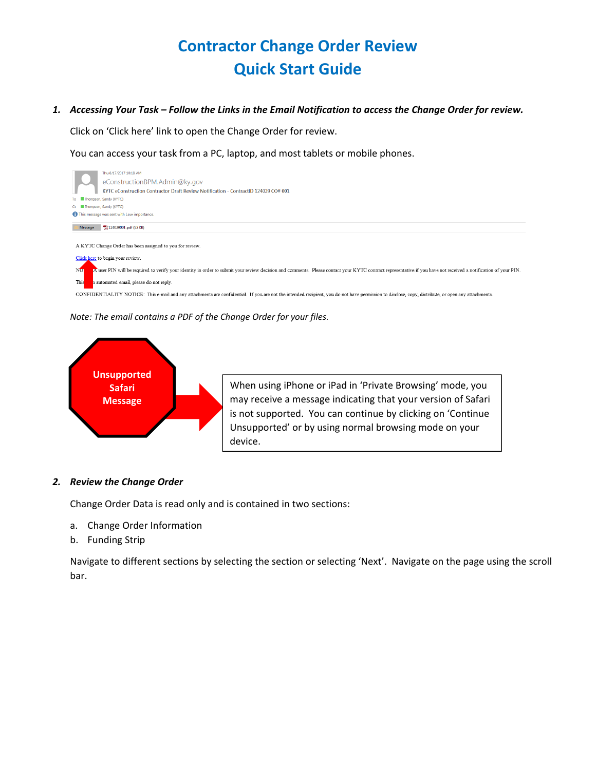## **Contractor Change Order Review Quick Start Guide**

## 1. Accessing Your Task - Follow the Links in the Email Notification to access the Change Order for review.

Click on 'Click here' link to open the Change Order for review.

You can access your task from a PC, laptop, and most tablets or mobile phones.



*Note: The email contains a PDF of the Change Order for your files.*



## *2. Review the Change Order*

Change Order Data is read only and is contained in two sections:

- a. Change Order Information
- b. Funding Strip

Navigate to different sections by selecting the section or selecting 'Next'. Navigate on the page using the scroll bar.